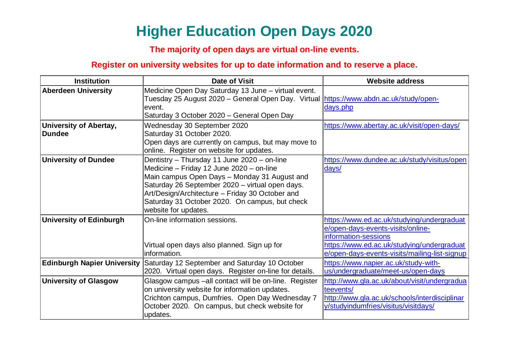## **Higher Education Open Days 2020**

## **The majority of open days are virtual on-line events.**

## **Register on university websites for up to date information and to reserve a place.**

| <b>Institution</b>                             | <b>Date of Visit</b>                                                                                                                                                                                                                                                                                                    | <b>Website address</b>                                                                                                                                                                                 |
|------------------------------------------------|-------------------------------------------------------------------------------------------------------------------------------------------------------------------------------------------------------------------------------------------------------------------------------------------------------------------------|--------------------------------------------------------------------------------------------------------------------------------------------------------------------------------------------------------|
| <b>Aberdeen University</b>                     | Medicine Open Day Saturday 13 June - virtual event.<br>Tuesday 25 August 2020 – General Open Day. Virtual https://www.abdn.ac.uk/study/open-<br>event.<br>Saturday 3 October 2020 - General Open Day                                                                                                                    | days.php                                                                                                                                                                                               |
| <b>University of Abertay,</b><br><b>Dundee</b> | Wednesday 30 September 2020<br>Saturday 31 October 2020.<br>Open days are currently on campus, but may move to<br>online. Register on website for updates.                                                                                                                                                              | https://www.abertay.ac.uk/visit/open-days/                                                                                                                                                             |
| <b>University of Dundee</b>                    | Dentistry - Thursday 11 June 2020 - on-line<br>Medicine - Friday 12 June 2020 - on-line<br>Main campus Open Days - Monday 31 August and<br>Saturday 26 September 2020 - virtual open days.<br>Art/Design/Architecture - Friday 30 October and<br>Saturday 31 October 2020. On campus, but check<br>website for updates. | https://www.dundee.ac.uk/study/visitus/open<br>days/                                                                                                                                                   |
| <b>University of Edinburgh</b>                 | On-line information sessions.<br>Virtual open days also planned. Sign up for<br>information.                                                                                                                                                                                                                            | https://www.ed.ac.uk/studying/undergraduat<br>e/open-days-events-visits/online-<br>information-sessions<br>https://www.ed.ac.uk/studying/undergraduat<br>e/open-days-events-visits/mailing-list-signup |
| <b>Edinburgh Napier University</b>             | Saturday 12 September and Saturday 10 October<br>2020. Virtual open days. Register on-line for details.                                                                                                                                                                                                                 | https://www.napier.ac.uk/study-with-<br>us/undergraduate/meet-us/open-days                                                                                                                             |
| <b>University of Glasgow</b>                   | Glasgow campus -all contact will be on-line. Register<br>on university website for information updates.<br>Crichton campus, Dumfries. Open Day Wednesday 7<br>October 2020. On campus, but check website for<br>updates.                                                                                                | http://www.gla.ac.uk/about/visit/undergradua<br>teevents/<br>http://www.gla.ac.uk/schools/interdisciplinar<br>y/studyindumfries/visitus/visitdays/                                                     |